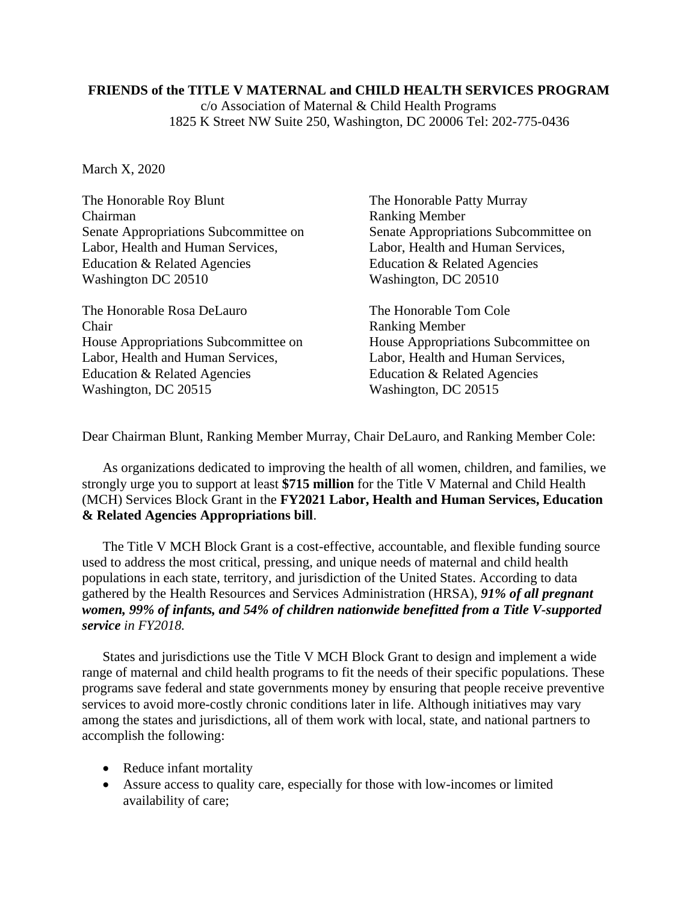## **FRIENDS of the TITLE V MATERNAL and CHILD HEALTH SERVICES PROGRAM**

c/o Association of Maternal & Child Health Programs 1825 K Street NW Suite 250, Washington, DC 20006 Tel: 202-775-0436

March X, 2020

The Honorable Roy Blunt The Honorable Patty Murray Chairman Ranking Member Senate Appropriations Subcommittee on Senate Appropriations Subcommittee on Labor, Health and Human Services, Labor, Health and Human Services, Education & Related Agencies Education & Related Agencies Washington DC 20510 Washington, DC 20510 The Honorable Rosa DeLauro The Honorable Tom Cole Chair Ranking Member House Appropriations Subcommittee on House Appropriations Subcommittee on Labor, Health and Human Services, Labor, Health and Human Services, Education & Related Agencies Education & Related Agencies Washington, DC 20515 Washington, DC 20515

Dear Chairman Blunt, Ranking Member Murray, Chair DeLauro, and Ranking Member Cole:

As organizations dedicated to improving the health of all women, children, and families, we strongly urge you to support at least **\$715 million** for the Title V Maternal and Child Health (MCH) Services Block Grant in the **FY2021 Labor, Health and Human Services, Education & Related Agencies Appropriations bill**.

The Title V MCH Block Grant is a cost-effective, accountable, and flexible funding source used to address the most critical, pressing, and unique needs of maternal and child health populations in each state, territory, and jurisdiction of the United States. According to data gathered by the Health Resources and Services Administration (HRSA), *91% of all pregnant women, 99% of infants, and 54% of children nationwide benefitted from a Title V-supported service in FY2018.*

States and jurisdictions use the Title V MCH Block Grant to design and implement a wide range of maternal and child health programs to fit the needs of their specific populations. These programs save federal and state governments money by ensuring that people receive preventive services to avoid more-costly chronic conditions later in life. Although initiatives may vary among the states and jurisdictions, all of them work with local, state, and national partners to accomplish the following:

- Reduce infant mortality
- Assure access to quality care, especially for those with low-incomes or limited availability of care;